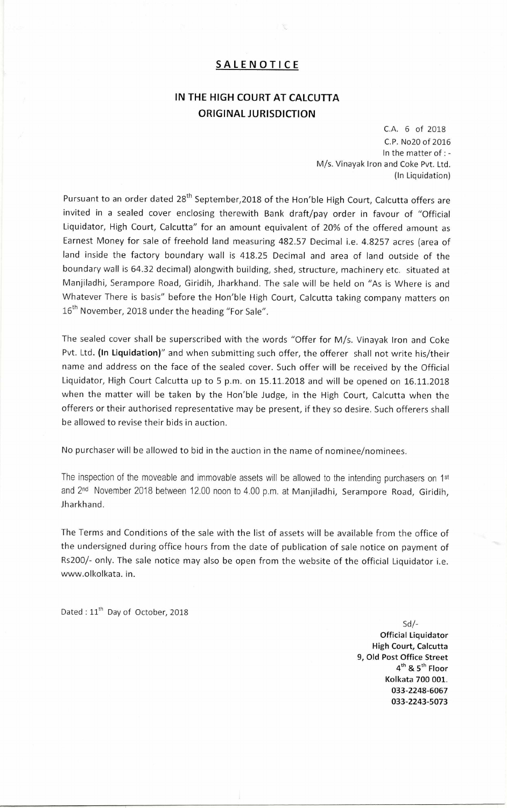## SALENOTICE

## IN THE HIGH COURT AT CALCUTTA ORIGINAL JURISDICTION

C.A. 6 of 2018 C.P. No20 of 2016 In the matter of : - M/s. Vinayak Iron and Coke Pvt. Ltd. (In Liquidation)

Pursuant to an order dated 28<sup>th</sup> September,2018 of the Hon'ble High Court, Calcutta offers are invited in a sealed cover enclosing therewith Bank draft/pay order in favour of "Official Liquidator, High Court, Calcutta" for an amount equivalent of 20% of the offered amount as Earnest Money for sale of freehold land measuring 482.57 Decimal i.e. 4.8257 acres (area of land inside the factory boundary wall is 418.25 Decimal and area of land outside of the boundary wall is 64.32 decimal) alongwith building, shed, structure, machinery etc. situated at Manjiladhi, Serampore Road, Giridih, Jharkhand. The sale will be held on "As is Where is and Whatever There is basis" before the Hon'ble High Court, Calcutta taking company matters on 16<sup>th</sup> November, 2018 under the heading "For Sale".

The sealed cover shall be superscribed with the words "Offer for M/s. Vinayak Iron and Coke Pvt. Ltd. (In Liquidation)" and when submitting such offer, the offerer shall not write his/their name and address on the face of the sealed cover. Such offer will be received by the Official Liquidator, High Court Calcutta up to 5 p.m. on 15.11.2018 and will be opened on 16.11.2018 when the matter will be taken by the Hon'ble Judge, in the High Court, Calcutta when the offerers or their authorised representative may be present, if they so desire. Such offerers shall be allowed to revise their bids in auction.

No purchaser will be allowed to bid in the auction in the name of nominee/nominees.

The inspection of the moveable and immovable assets will be allowed to the intending purchasers on 1st and 2nd November 2018 between 12.00 noon to 4.00 p.m. at Manjiladhi, Serampore Road, Giridih, Jharkhand.

The Terms and Conditions of the sale with the list of assets will be available from the office of the undersigned during office hours from the date of publication of sale notice on payment of Rs200/- only. The sale notice may also be open from the website of the official Liquidator i.e. www.olkolkata. in.

Dated : 11<sup>th</sup> Day of October, 2018

 $Sd$  /-Official Liquidator High Court, Calcutta 9, Old Post Office Street  $4^{\text{th}}$  &  $5^{\text{th}}$  Floor Kolkata 700 001. 033-2248-6067 033-2243-5073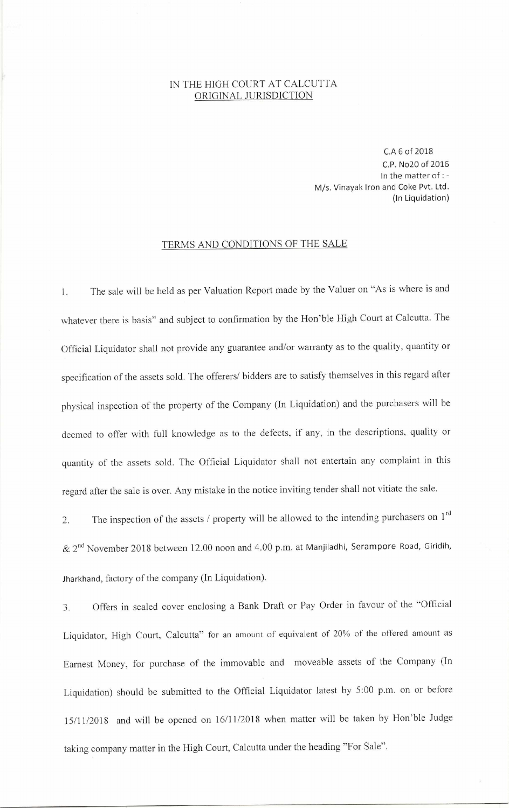## IN THE HIGH COURT AT CALCUTTA ORIGINAL JURISDICTION

C.A 6 of 2018 C.P. No20 of 2016 In the matter of : - M/s. Vinayak Iron and Coke Pvt. Ltd. (In Liquidation)

## TERMS AND CONDITIONS OF THE SALE

1. The sale will be held as per Valuation Report made by the Valuer on "As is where is and whatever there is basis" and subject to confirmation by the Hon'ble High Court at Calcutta. The Official Liquidator shall not provide any guarantee and/or warranty as to the quality, quantity or specification of the assets sold. The offerers/ bidders are to satisfy themselves in this regard after physical inspection of the property of the Company (In Liquidation) and the purchasers will be deemed to offer with full knowledge as to the defects, if any, in the descriptions, quality or quantity of the assets sold. The Official Liquidator shall not entertain any complaint in this regard after the sale is over. Any mistake in the notice inviting tender shall not vitiate the sale.

2. The inspection of the assets / property will be allowed to the intending purchasers on  $1<sup>rd</sup>$  $\&$  2<sup>nd</sup> November 2018 between 12.00 noon and 4.00 p.m. at Manjiladhi, Serampore Road, Giridih, Jharkhand, factory of the company (In Liquidation).

3. Offers in sealed cover enclosing a Bank Draft or Pay Order in favour of the "Official Liquidator, High Court, Calcutta" for an amount of equivalent of 20% of the offered amount as Earnest Money, for purchase of the immovable and moveable assets of the Company (In Liquidation) should be submitted to the Official Liquidator latest by 5:00 p.m. on or before 15/11/2018 and will be opened on 16/11/2018 when matter will be taken by Hon'ble Judge taking company matter in the High Court, Calcutta under the heading "For Sale".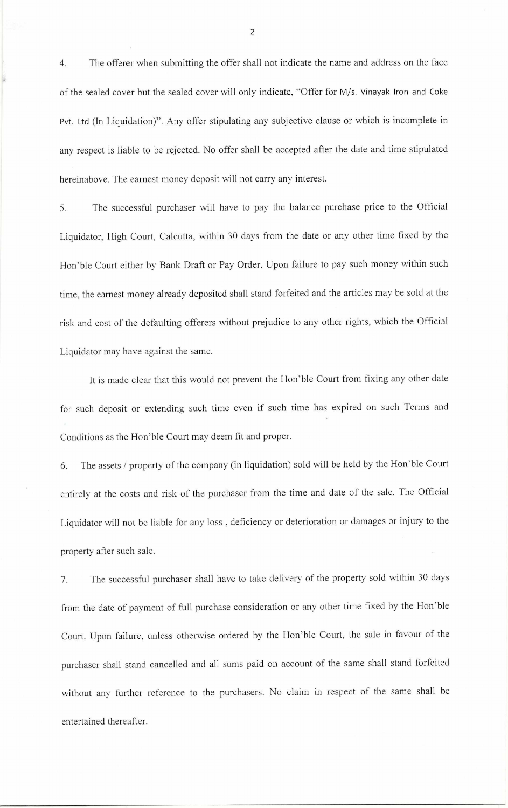4. The offerer when submitting the offer shall not indicate the name and address on the face of the sealed cover but the sealed cover will only indicate, "Offer for M/s. Vinayak Iron and Coke Pvt. Ltd (In Liquidation)". Any offer stipulating any subjective clause or which is incomplete in any respect is liable to be rejected. No offer shall be accepted after the date and time stipulated hereinabove. The earnest money deposit will not carry any interest.

5. The successful purchaser will have to pay the balance purchase price to the Official Liquidator, High Court, Calcutta, within 30 days from the date or any other time fixed by the Hon'ble Court either by Bank Draft or Pay Order. Upon failure to pay such money within such time, the earnest money already deposited shall stand forfeited and the articles may be sold at the risk and cost of the defaulting offerers without prejudice to any other rights, which the Official Liquidator may have against the same.

It is made clear that this would not prevent the Hon'ble Court from fixing any other date for such deposit or extending such time even if such time has expired on such Terms and Conditions as the Hon'ble Court may deem fit and proper.

6. The assets / property of the company (in liquidation) sold will be held by the Hon'ble Court entirely at the costs and risk of the purchaser from the time and date of the sale. The Official Liquidator will not be liable for any loss , deficiency or deterioration or damages or injury to the property after such sale.

7. The successful purchaser shall have to take delivery of the property sold within 30 days from the date of payment of full purchase consideration or any other time fixed by the Hon'ble Court. Upon failure, unless otherwise ordered by the Hon'ble Court, the sale in favour of the purchaser shall stand cancelled and all sums paid on account of the same shall stand forfeited without any further reference to the purchasers. No claim in respect of the same shall be entertained thereafter.

2